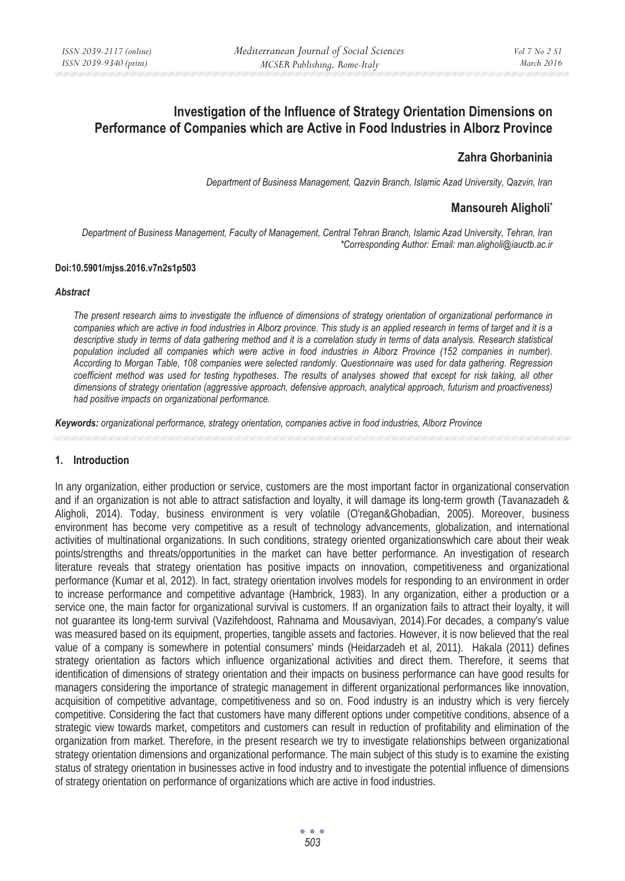# **Investigation of the Influence of Strategy Orientation Dimensions on Performance of Companies which are Active in Food Industries in Alborz Province**

# **Zahra Ghorbaninia**

*Department of Business Management, Qazvin Branch, Islamic Azad University, Qazvin, Iran* 

# **Mansoureh Aligholi\***

*Department of Business Management, Faculty of Management, Central Tehran Branch, Islamic Azad University, Tehran, Iran \*Corresponding Author: Email: man.aligholi@iauctb.ac.ir* 

#### **Doi:10.5901/mjss.2016.v7n2s1p503**

#### *Abstract*

*The present research aims to investigate the influence of dimensions of strategy orientation of organizational performance in companies which are active in food industries in Alborz province. This study is an applied research in terms of target and it is a descriptive study in terms of data gathering method and it is a correlation study in terms of data analysis. Research statistical population included all companies which were active in food industries in Alborz Province (152 companies in number). According to Morgan Table, 108 companies were selected randomly. Questionnaire was used for data gathering. Regression coefficient method was used for testing hypotheses. The results of analyses showed that except for risk taking, all other dimensions of strategy orientation (aggressive approach, defensive approach, analytical approach, futurism and proactiveness) had positive impacts on organizational performance.* 

*Keywords: organizational performance, strategy orientation, companies active in food industries, Alborz Province*

#### **1. Introduction**

In any organization, either production or service, customers are the most important factor in organizational conservation and if an organization is not able to attract satisfaction and loyalty, it will damage its long-term growth (Tavanazadeh & Aligholi, 2014). Today, business environment is very volatile (O'regan&Ghobadian, 2005). Moreover, business environment has become very competitive as a result of technology advancements, globalization, and international activities of multinational organizations. In such conditions, strategy oriented organizationswhich care about their weak points/strengths and threats/opportunities in the market can have better performance. An investigation of research literature reveals that strategy orientation has positive impacts on innovation, competitiveness and organizational performance (Kumar et al, 2012). In fact, strategy orientation involves models for responding to an environment in order to increase performance and competitive advantage (Hambrick, 1983). In any organization, either a production or a service one, the main factor for organizational survival is customers. If an organization fails to attract their loyalty, it will not guarantee its long-term survival (Vazifehdoost, Rahnama and Mousaviyan, 2014).For decades, a company's value was measured based on its equipment, properties, tangible assets and factories. However, it is now believed that the real value of a company is somewhere in potential consumers' minds (Heidarzadeh et al, 2011). Hakala (2011) defines strategy orientation as factors which influence organizational activities and direct them. Therefore, it seems that identification of dimensions of strategy orientation and their impacts on business performance can have good results for managers considering the importance of strategic management in different organizational performances like innovation, acquisition of competitive advantage, competitiveness and so on. Food industry is an industry which is very fiercely competitive. Considering the fact that customers have many different options under competitive conditions, absence of a strategic view towards market, competitors and customers can result in reduction of profitability and elimination of the organization from market. Therefore, in the present research we try to investigate relationships between organizational strategy orientation dimensions and organizational performance. The main subject of this study is to examine the existing status of strategy orientation in businesses active in food industry and to investigate the potential influence of dimensions of strategy orientation on performance of organizations which are active in food industries.

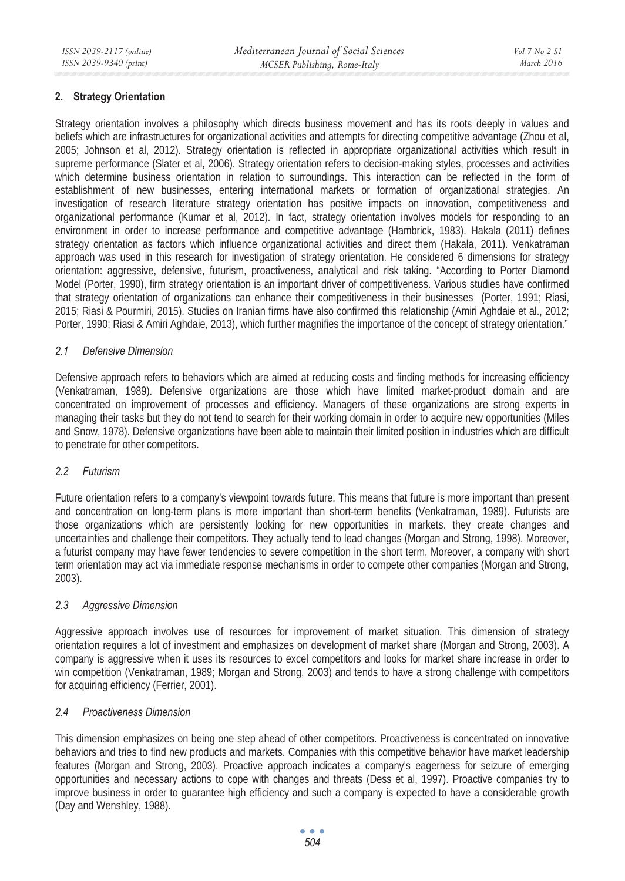## **2. Strategy Orientation**

Strategy orientation involves a philosophy which directs business movement and has its roots deeply in values and beliefs which are infrastructures for organizational activities and attempts for directing competitive advantage (Zhou et al, 2005; Johnson et al, 2012). Strategy orientation is reflected in appropriate organizational activities which result in supreme performance (Slater et al, 2006). Strategy orientation refers to decision-making styles, processes and activities which determine business orientation in relation to surroundings. This interaction can be reflected in the form of establishment of new businesses, entering international markets or formation of organizational strategies. An investigation of research literature strategy orientation has positive impacts on innovation, competitiveness and organizational performance (Kumar et al, 2012). In fact, strategy orientation involves models for responding to an environment in order to increase performance and competitive advantage (Hambrick, 1983). Hakala (2011) defines strategy orientation as factors which influence organizational activities and direct them (Hakala, 2011). Venkatraman approach was used in this research for investigation of strategy orientation. He considered 6 dimensions for strategy orientation: aggressive, defensive, futurism, proactiveness, analytical and risk taking. "According to Porter Diamond Model (Porter, 1990), firm strategy orientation is an important driver of competitiveness. Various studies have confirmed that strategy orientation of organizations can enhance their competitiveness in their businesses (Porter, 1991; Riasi, 2015; Riasi & Pourmiri, 2015). Studies on Iranian firms have also confirmed this relationship (Amiri Aghdaie et al., 2012; Porter, 1990; Riasi & Amiri Aghdaie, 2013), which further magnifies the importance of the concept of strategy orientation."

## *2.1 Defensive Dimension*

Defensive approach refers to behaviors which are aimed at reducing costs and finding methods for increasing efficiency (Venkatraman, 1989). Defensive organizations are those which have limited market-product domain and are concentrated on improvement of processes and efficiency. Managers of these organizations are strong experts in managing their tasks but they do not tend to search for their working domain in order to acquire new opportunities (Miles and Snow, 1978). Defensive organizations have been able to maintain their limited position in industries which are difficult to penetrate for other competitors.

#### *2.2 Futurism*

Future orientation refers to a company's viewpoint towards future. This means that future is more important than present and concentration on long-term plans is more important than short-term benefits (Venkatraman, 1989). Futurists are those organizations which are persistently looking for new opportunities in markets. they create changes and uncertainties and challenge their competitors. They actually tend to lead changes (Morgan and Strong, 1998). Moreover, a futurist company may have fewer tendencies to severe competition in the short term. Moreover, a company with short term orientation may act via immediate response mechanisms in order to compete other companies (Morgan and Strong, 2003).

## *2.3 Aggressive Dimension*

Aggressive approach involves use of resources for improvement of market situation. This dimension of strategy orientation requires a lot of investment and emphasizes on development of market share (Morgan and Strong, 2003). A company is aggressive when it uses its resources to excel competitors and looks for market share increase in order to win competition (Venkatraman, 1989; Morgan and Strong, 2003) and tends to have a strong challenge with competitors for acquiring efficiency (Ferrier, 2001).

#### *2.4 Proactiveness Dimension*

This dimension emphasizes on being one step ahead of other competitors. Proactiveness is concentrated on innovative behaviors and tries to find new products and markets. Companies with this competitive behavior have market leadership features (Morgan and Strong, 2003). Proactive approach indicates a company's eagerness for seizure of emerging opportunities and necessary actions to cope with changes and threats (Dess et al, 1997). Proactive companies try to improve business in order to guarantee high efficiency and such a company is expected to have a considerable growth (Day and Wenshley, 1988).

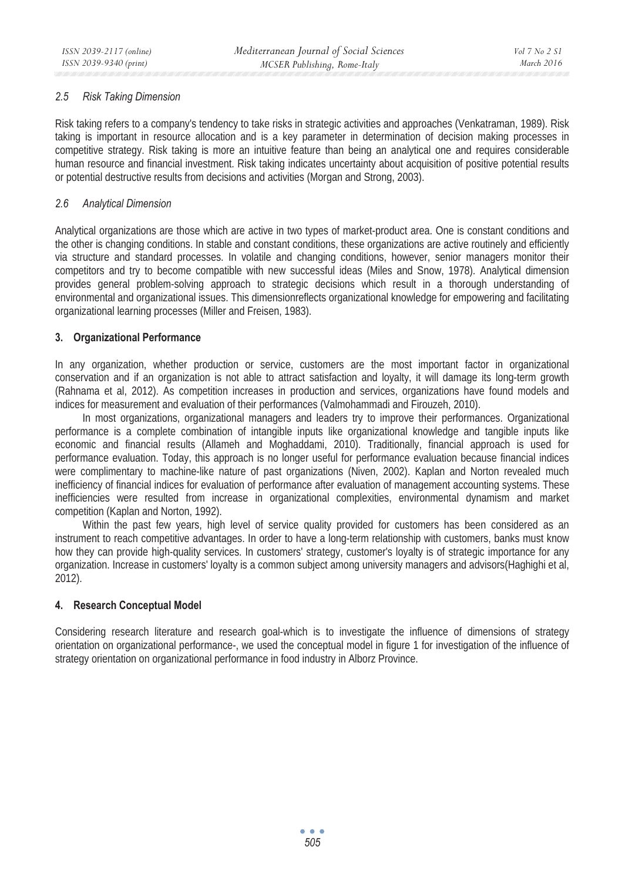#### *2.5 Risk Taking Dimension*

Risk taking refers to a company's tendency to take risks in strategic activities and approaches (Venkatraman, 1989). Risk taking is important in resource allocation and is a key parameter in determination of decision making processes in competitive strategy. Risk taking is more an intuitive feature than being an analytical one and requires considerable human resource and financial investment. Risk taking indicates uncertainty about acquisition of positive potential results or potential destructive results from decisions and activities (Morgan and Strong, 2003).

## *2.6 Analytical Dimension*

Analytical organizations are those which are active in two types of market-product area. One is constant conditions and the other is changing conditions. In stable and constant conditions, these organizations are active routinely and efficiently via structure and standard processes. In volatile and changing conditions, however, senior managers monitor their competitors and try to become compatible with new successful ideas (Miles and Snow, 1978). Analytical dimension provides general problem-solving approach to strategic decisions which result in a thorough understanding of environmental and organizational issues. This dimensionreflects organizational knowledge for empowering and facilitating organizational learning processes (Miller and Freisen, 1983).

## **3. Organizational Performance**

In any organization, whether production or service, customers are the most important factor in organizational conservation and if an organization is not able to attract satisfaction and loyalty, it will damage its long-term growth (Rahnama et al, 2012). As competition increases in production and services, organizations have found models and indices for measurement and evaluation of their performances (Valmohammadi and Firouzeh, 2010).

In most organizations, organizational managers and leaders try to improve their performances. Organizational performance is a complete combination of intangible inputs like organizational knowledge and tangible inputs like economic and financial results (Allameh and Moghaddami, 2010). Traditionally, financial approach is used for performance evaluation. Today, this approach is no longer useful for performance evaluation because financial indices were complimentary to machine-like nature of past organizations (Niven, 2002). Kaplan and Norton revealed much inefficiency of financial indices for evaluation of performance after evaluation of management accounting systems. These inefficiencies were resulted from increase in organizational complexities, environmental dynamism and market competition (Kaplan and Norton, 1992).

Within the past few years, high level of service quality provided for customers has been considered as an instrument to reach competitive advantages. In order to have a long-term relationship with customers, banks must know how they can provide high-quality services. In customers' strategy, customer's loyalty is of strategic importance for any organization. Increase in customers' loyalty is a common subject among university managers and advisors(Haghighi et al, 2012).

## **4. Research Conceptual Model**

Considering research literature and research goal-which is to investigate the influence of dimensions of strategy orientation on organizational performance-, we used the conceptual model in figure 1 for investigation of the influence of strategy orientation on organizational performance in food industry in Alborz Province.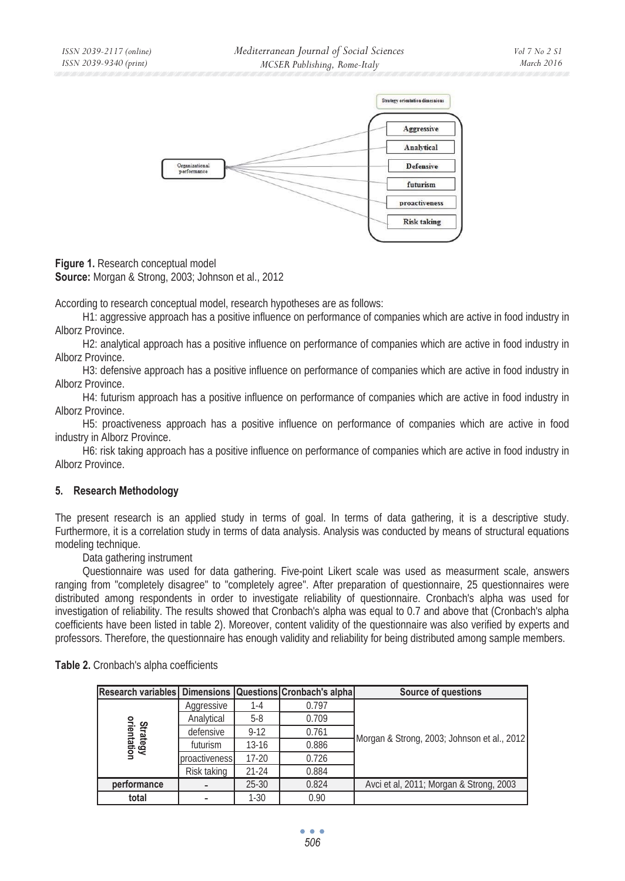

**Figure 1.** Research conceptual model

**Source:** Morgan & Strong, 2003; Johnson et al., 2012

According to research conceptual model, research hypotheses are as follows:

H1: aggressive approach has a positive influence on performance of companies which are active in food industry in Alborz Province.

H2: analytical approach has a positive influence on performance of companies which are active in food industry in Alborz Province.

H3: defensive approach has a positive influence on performance of companies which are active in food industry in Alborz Province.

H4: futurism approach has a positive influence on performance of companies which are active in food industry in Alborz Province.

H5: proactiveness approach has a positive influence on performance of companies which are active in food industry in Alborz Province.

H6: risk taking approach has a positive influence on performance of companies which are active in food industry in Alborz Province.

#### **5. Research Methodology**

The present research is an applied study in terms of goal. In terms of data gathering, it is a descriptive study. Furthermore, it is a correlation study in terms of data analysis. Analysis was conducted by means of structural equations modeling technique.

Data gathering instrument

Questionnaire was used for data gathering. Five-point Likert scale was used as measurment scale, answers ranging from "completely disagree" to "completely agree". After preparation of questionnaire, 25 questionnaires were distributed among respondents in order to investigate reliability of questionnaire. Cronbach's alpha was used for investigation of reliability. The results showed that Cronbach's alpha was equal to 0.7 and above that (Cronbach's alpha coefficients have been listed in table 2). Moreover, content validity of the questionnaire was also verified by experts and professors. Therefore, the questionnaire has enough validity and reliability for being distributed among sample members.

**Table 2.** Cronbach's alpha coefficients

| Research variables Dimensions   Questions   Cronbach's alpha |               |           |       | Source of questions                         |  |  |
|--------------------------------------------------------------|---------------|-----------|-------|---------------------------------------------|--|--|
| <b>Strategy</b><br>orientation                               | Aggressive    | 1-4       | 0.797 |                                             |  |  |
|                                                              | Analytical    | $5-8$     | 0.709 | Morgan & Strong, 2003; Johnson et al., 2012 |  |  |
|                                                              | defensive     | $9 - 12$  | 0.761 |                                             |  |  |
|                                                              | futurism      | $13 - 16$ | 0.886 |                                             |  |  |
|                                                              | proactiveness | $17 - 20$ | 0.726 |                                             |  |  |
|                                                              | Risk taking   | $21 - 24$ | 0.884 |                                             |  |  |
| performance                                                  |               | $25 - 30$ | 0.824 | Avci et al, 2011; Morgan & Strong, 2003     |  |  |
| total                                                        |               | $1 - 30$  | 0.90  |                                             |  |  |

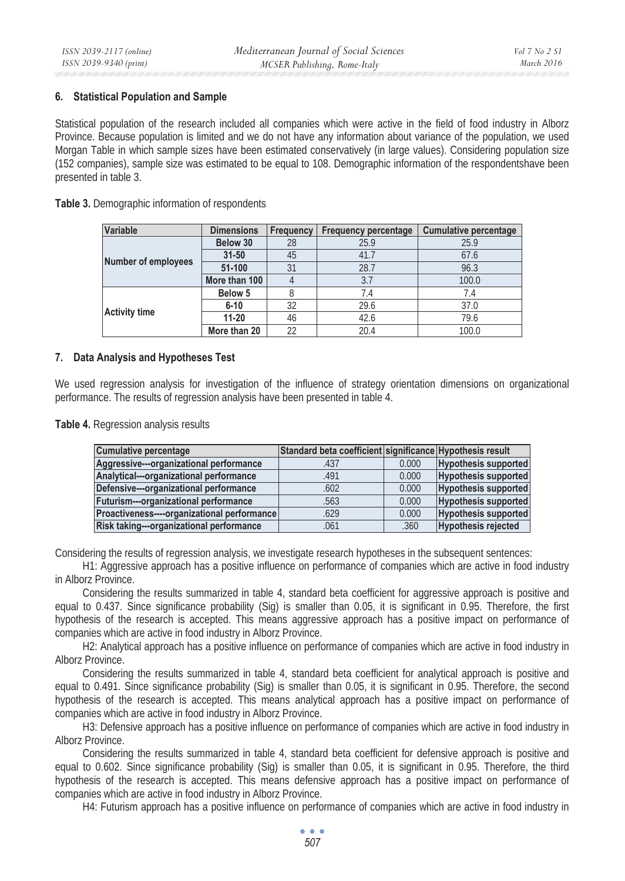#### **6. Statistical Population and Sample**

Statistical population of the research included all companies which were active in the field of food industry in Alborz Province. Because population is limited and we do not have any information about variance of the population, we used Morgan Table in which sample sizes have been estimated conservatively (in large values). Considering population size (152 companies), sample size was estimated to be equal to 108. Demographic information of the respondentshave been presented in table 3.

**Table 3.** Demographic information of respondents

| Variable<br><b>Dimensions</b> |               | Frequency                              | <b>Frequency percentage</b> | <b>Cumulative percentage</b> |
|-------------------------------|---------------|----------------------------------------|-----------------------------|------------------------------|
| Number of employees           | Below 30      | 28                                     | 25.9                        | 25.9                         |
|                               | $31 - 50$     | 45                                     | 41.7                        | 67.6                         |
|                               | 51-100        | 31                                     | 28.7                        | 96.3                         |
|                               | More than 100 |                                        | 3.7                         | 100.0                        |
|                               | Below 5       |                                        | 7.4                         | 7.4                          |
| <b>Activity time</b>          | $6 - 10$      | 32<br>29.6<br>42.6<br>46<br>22<br>20.4 | 37.0                        |                              |
|                               | $11-20$       |                                        |                             | 79.6                         |
|                               | More than 20  |                                        |                             | 100.0                        |

## **7. Data Analysis and Hypotheses Test**

We used regression analysis for investigation of the influence of strategy orientation dimensions on organizational performance. The results of regression analysis have been presented in table 4.

**Table 4.** Regression analysis results

| <b>Cumulative percentage</b>                | Standard beta coefficient significance Hypothesis result |       |                             |
|---------------------------------------------|----------------------------------------------------------|-------|-----------------------------|
| Aggressive---organizational performance     | .437                                                     | 0.000 | Hypothesis supported        |
| Analytical---organizational performance     | .491                                                     | 0.000 | Hypothesis supported        |
| Defensive---organizational performance      | .602                                                     | 0.000 | <b>Hypothesis supported</b> |
| Futurism---organizational performance       | .563                                                     | 0.000 | Hypothesis supported        |
| Proactiveness----organizational performance | .629                                                     | 0.000 | <b>Hypothesis supported</b> |
| Risk taking---organizational performance    | .061                                                     | .360  | <b>Hypothesis rejected</b>  |

Considering the results of regression analysis, we investigate research hypotheses in the subsequent sentences:

H1: Aggressive approach has a positive influence on performance of companies which are active in food industry in Alborz Province.

Considering the results summarized in table 4, standard beta coefficient for aggressive approach is positive and equal to 0.437. Since significance probability (Sig) is smaller than 0.05, it is significant in 0.95. Therefore, the first hypothesis of the research is accepted. This means aggressive approach has a positive impact on performance of companies which are active in food industry in Alborz Province.

H2: Analytical approach has a positive influence on performance of companies which are active in food industry in Alborz Province.

Considering the results summarized in table 4, standard beta coefficient for analytical approach is positive and equal to 0.491. Since significance probability (Sig) is smaller than 0.05, it is significant in 0.95. Therefore, the second hypothesis of the research is accepted. This means analytical approach has a positive impact on performance of companies which are active in food industry in Alborz Province.

H3: Defensive approach has a positive influence on performance of companies which are active in food industry in Alborz Province.

Considering the results summarized in table 4, standard beta coefficient for defensive approach is positive and equal to 0.602. Since significance probability (Sig) is smaller than 0.05, it is significant in 0.95. Therefore, the third hypothesis of the research is accepted. This means defensive approach has a positive impact on performance of companies which are active in food industry in Alborz Province.

H4: Futurism approach has a positive influence on performance of companies which are active in food industry in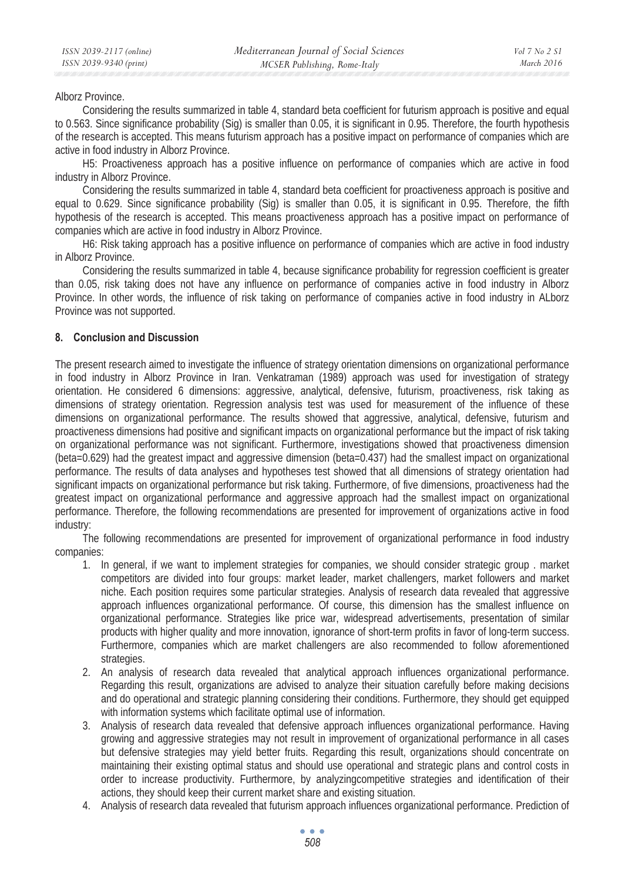Alborz Province.

Considering the results summarized in table 4, standard beta coefficient for futurism approach is positive and equal to 0.563. Since significance probability (Sig) is smaller than 0.05, it is significant in 0.95. Therefore, the fourth hypothesis of the research is accepted. This means futurism approach has a positive impact on performance of companies which are active in food industry in Alborz Province.

H5: Proactiveness approach has a positive influence on performance of companies which are active in food industry in Alborz Province.

Considering the results summarized in table 4, standard beta coefficient for proactiveness approach is positive and equal to 0.629. Since significance probability (Sig) is smaller than 0.05, it is significant in 0.95. Therefore, the fifth hypothesis of the research is accepted. This means proactiveness approach has a positive impact on performance of companies which are active in food industry in Alborz Province.

H6: Risk taking approach has a positive influence on performance of companies which are active in food industry in Alborz Province.

Considering the results summarized in table 4, because significance probability for regression coefficient is greater than 0.05, risk taking does not have any influence on performance of companies active in food industry in Alborz Province. In other words, the influence of risk taking on performance of companies active in food industry in ALborz Province was not supported.

## **8. Conclusion and Discussion**

The present research aimed to investigate the influence of strategy orientation dimensions on organizational performance in food industry in Alborz Province in Iran. Venkatraman (1989) approach was used for investigation of strategy orientation. He considered 6 dimensions: aggressive, analytical, defensive, futurism, proactiveness, risk taking as dimensions of strategy orientation. Regression analysis test was used for measurement of the influence of these dimensions on organizational performance. The results showed that aggressive, analytical, defensive, futurism and proactiveness dimensions had positive and significant impacts on organizational performance but the impact of risk taking on organizational performance was not significant. Furthermore, investigations showed that proactiveness dimension (beta=0.629) had the greatest impact and aggressive dimension (beta=0.437) had the smallest impact on organizational performance. The results of data analyses and hypotheses test showed that all dimensions of strategy orientation had significant impacts on organizational performance but risk taking. Furthermore, of five dimensions, proactiveness had the greatest impact on organizational performance and aggressive approach had the smallest impact on organizational performance. Therefore, the following recommendations are presented for improvement of organizations active in food industry:

The following recommendations are presented for improvement of organizational performance in food industry companies:

- 1. In general, if we want to implement strategies for companies, we should consider strategic group . market competitors are divided into four groups: market leader, market challengers, market followers and market niche. Each position requires some particular strategies. Analysis of research data revealed that aggressive approach influences organizational performance. Of course, this dimension has the smallest influence on organizational performance. Strategies like price war, widespread advertisements, presentation of similar products with higher quality and more innovation, ignorance of short-term profits in favor of long-term success. Furthermore, companies which are market challengers are also recommended to follow aforementioned strategies.
- 2. An analysis of research data revealed that analytical approach influences organizational performance. Regarding this result, organizations are advised to analyze their situation carefully before making decisions and do operational and strategic planning considering their conditions. Furthermore, they should get equipped with information systems which facilitate optimal use of information.
- 3. Analysis of research data revealed that defensive approach influences organizational performance. Having growing and aggressive strategies may not result in improvement of organizational performance in all cases but defensive strategies may yield better fruits. Regarding this result, organizations should concentrate on maintaining their existing optimal status and should use operational and strategic plans and control costs in order to increase productivity. Furthermore, by analyzingcompetitive strategies and identification of their actions, they should keep their current market share and existing situation.
- 4. Analysis of research data revealed that futurism approach influences organizational performance. Prediction of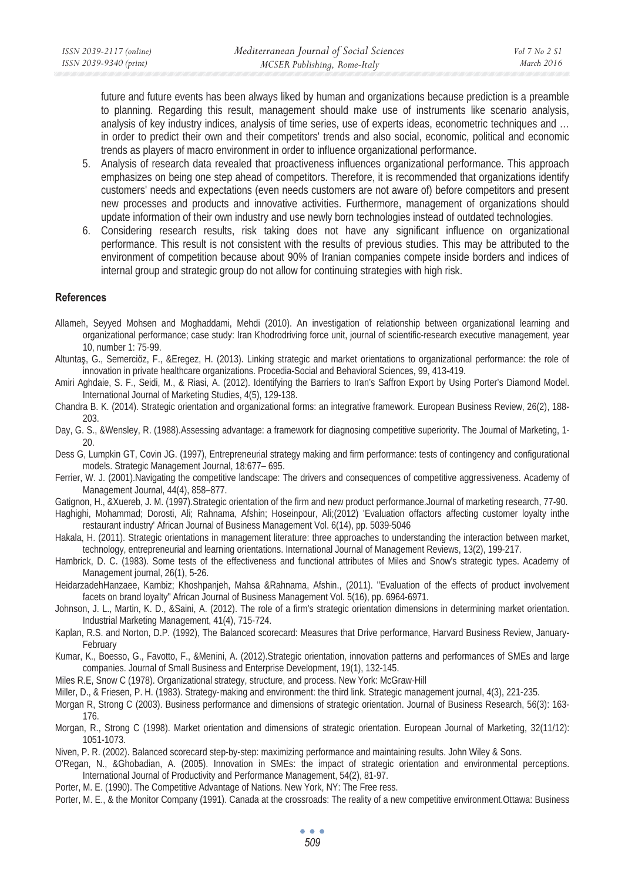future and future events has been always liked by human and organizations because prediction is a preamble to planning. Regarding this result, management should make use of instruments like scenario analysis, analysis of key industry indices, analysis of time series, use of experts ideas, econometric techniques and … in order to predict their own and their competitors' trends and also social, economic, political and economic trends as players of macro environment in order to influence organizational performance.

- 5. Analysis of research data revealed that proactiveness influences organizational performance. This approach emphasizes on being one step ahead of competitors. Therefore, it is recommended that organizations identify customers' needs and expectations (even needs customers are not aware of) before competitors and present new processes and products and innovative activities. Furthermore, management of organizations should update information of their own industry and use newly born technologies instead of outdated technologies.
- 6. Considering research results, risk taking does not have any significant influence on organizational performance. This result is not consistent with the results of previous studies. This may be attributed to the environment of competition because about 90% of Iranian companies compete inside borders and indices of internal group and strategic group do not allow for continuing strategies with high risk.

#### **References**

- Allameh, Seyyed Mohsen and Moghaddami, Mehdi (2010). An investigation of relationship between organizational learning and organizational performance; case study: Iran Khodrodriving force unit, journal of scientific-research executive management, year 10, number 1: 75-99.
- Altuntas, G., Semerciöz, F., &Eregez, H. (2013). Linking strategic and market orientations to organizational performance: the role of innovation in private healthcare organizations. Procedia-Social and Behavioral Sciences, 99, 413-419.
- Amiri Aghdaie, S. F., Seidi, M., & Riasi, A. (2012). Identifying the Barriers to Iran's Saffron Export by Using Porter's Diamond Model. International Journal of Marketing Studies, 4(5), 129-138.
- Chandra B. K. (2014). Strategic orientation and organizational forms: an integrative framework. European Business Review, 26(2), 188- 203.
- Day, G. S., &Wensley, R. (1988).Assessing advantage: a framework for diagnosing competitive superiority. The Journal of Marketing, 1- 20.
- Dess G, Lumpkin GT, Covin JG. (1997), Entrepreneurial strategy making and firm performance: tests of contingency and configurational models. Strategic Management Journal, 18:677– 695.
- Ferrier, W. J. (2001).Navigating the competitive landscape: The drivers and consequences of competitive aggressiveness. Academy of Management Journal, 44(4), 858–877.
- Gatignon, H., &Xuereb, J. M. (1997).Strategic orientation of the firm and new product performance.Journal of marketing research, 77-90.
- Haghighi, Mohammad; Dorosti, Ali; Rahnama, Afshin; Hoseinpour, Ali;(2012) 'Evaluation offactors affecting customer loyalty inthe restaurant industry' African Journal of Business Management Vol. 6(14), pp. 5039-5046
- Hakala, H. (2011). Strategic orientations in management literature: three approaches to understanding the interaction between market, technology, entrepreneurial and learning orientations. International Journal of Management Reviews, 13(2), 199-217.
- Hambrick, D. C. (1983). Some tests of the effectiveness and functional attributes of Miles and Snow's strategic types. Academy of Management journal, 26(1), 5-26.
- HeidarzadehHanzaee, Kambiz; Khoshpanjeh, Mahsa &Rahnama, Afshin., (2011). "Evaluation of the effects of product involvement facets on brand loyalty" African Journal of Business Management Vol. 5(16), pp. 6964-6971.
- Johnson, J. L., Martin, K. D., &Saini, A. (2012). The role of a firm's strategic orientation dimensions in determining market orientation. Industrial Marketing Management, 41(4), 715-724.
- Kaplan, R.S. and Norton, D.P. (1992), The Balanced scorecard: Measures that Drive performance, Harvard Business Review, January-February
- Kumar, K., Boesso, G., Favotto, F., &Menini, A. (2012).Strategic orientation, innovation patterns and performances of SMEs and large companies. Journal of Small Business and Enterprise Development, 19(1), 132-145.
- Miles R.E, Snow C (1978). Organizational strategy, structure, and process. New York: McGraw-Hill
- Miller, D., & Friesen, P. H. (1983). Strategy-making and environment: the third link. Strategic management journal, 4(3), 221-235.
- Morgan R, Strong C (2003). Business performance and dimensions of strategic orientation. Journal of Business Research, 56(3): 163- 176.
- Morgan, R., Strong C (1998). Market orientation and dimensions of strategic orientation. European Journal of Marketing, 32(11/12): 1051-1073.
- Niven, P. R. (2002). Balanced scorecard step-by-step: maximizing performance and maintaining results. John Wiley & Sons.
- O'Regan, N., &Ghobadian, A. (2005). Innovation in SMEs: the impact of strategic orientation and environmental perceptions. International Journal of Productivity and Performance Management, 54(2), 81-97.
- Porter, M. E. (1990). The Competitive Advantage of Nations. New York, NY: The Free ress.
- Porter, M. E., & the Monitor Company (1991). Canada at the crossroads: The reality of a new competitive environment.Ottawa: Business